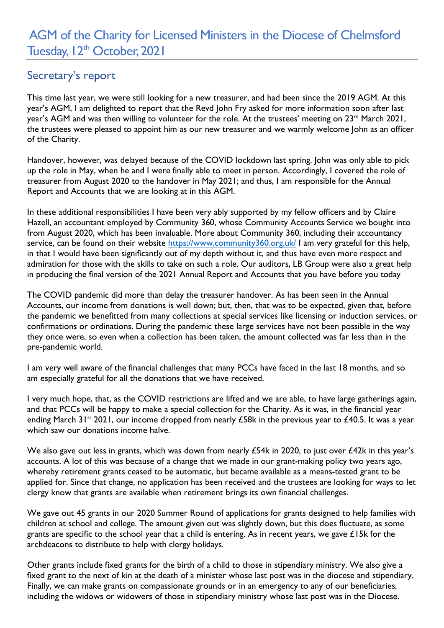## Secretary's report

This time last year, we were still looking for a new treasurer, and had been since the 2019 AGM. At this year's AGM, I am delighted to report that the Revd John Fry asked for more information soon after last year's AGM and was then willing to volunteer for the role. At the trustees' meeting on 23<sup>rd</sup> March 2021, the trustees were pleased to appoint him as our new treasurer and we warmly welcome John as an officer of the Charity.

Handover, however, was delayed because of the COVID lockdown last spring. John was only able to pick up the role in May, when he and I were finally able to meet in person. Accordingly, I covered the role of treasurer from August 2020 to the handover in May 2021; and thus, I am responsible for the Annual Report and Accounts that we are looking at in this AGM.

In these additional responsibilities I have been very ably supported by my fellow officers and by Claire Hazell, an accountant employed by Community 360, whose Community Accounts Service we bought into from August 2020, which has been invaluable. More about Community 360, including their accountancy service, can be found on their website https://www.community360.org.uk/ I am very grateful for this help, in that I would have been significantly out of my depth without it, and thus have even more respect and admiration for those with the skills to take on such a role. Our auditors, LB Group were also a great help in producing the final version of the 2021 Annual Report and Accounts that you have before you today

The COVID pandemic did more than delay the treasurer handover. As has been seen in the Annual Accounts, our income from donations is well down; but, then, that was to be expected, given that, before the pandemic we benefitted from many collections at special services like licensing or induction services, or confirmations or ordinations. During the pandemic these large services have not been possible in the way they once were, so even when a collection has been taken, the amount collected was far less than in the pre-pandemic world.

I am very well aware of the financial challenges that many PCCs have faced in the last 18 months, and so am especially grateful for all the donations that we have received.

I very much hope, that, as the COVID restrictions are lifted and we are able, to have large gatherings again, and that PCCs will be happy to make a special collection for the Charity. As it was, in the financial year ending March 31<sup>st</sup> 2021, our income dropped from nearly £58k in the previous year to £40.5. It was a year which saw our donations income halve

We also gave out less in grants, which was down from nearly £54k in 2020, to just over £42k in this year's accounts. A lot of this was because of a change that we made in our grant-making policy two years ago, whereby retirement grants ceased to be automatic, but became available as a means-tested grant to be applied for. Since that change, no application has been received and the trustees are looking for ways to let clergy know that grants are available when retirement brings its own financial challenges.

We gave out 45 grants in our 2020 Summer Round of applications for grants designed to help families with children at school and college. The amount given out was slightly down, but this does fluctuate, as some grants are specific to the school year that a child is entering. As in recent years, we gave £15k for the archdeacons to distribute to help with clergy holidays.

Other grants include fixed grants for the birth of a child to those in stipendiary ministry. We also give a fixed grant to the next of kin at the death of a minister whose last post was in the diocese and stipendiary. Finally, we can make grants on compassionate grounds or in an emergency to any of our beneficiaries, including the widows or widowers of those in stipendiary ministry whose last post was in the Diocese.